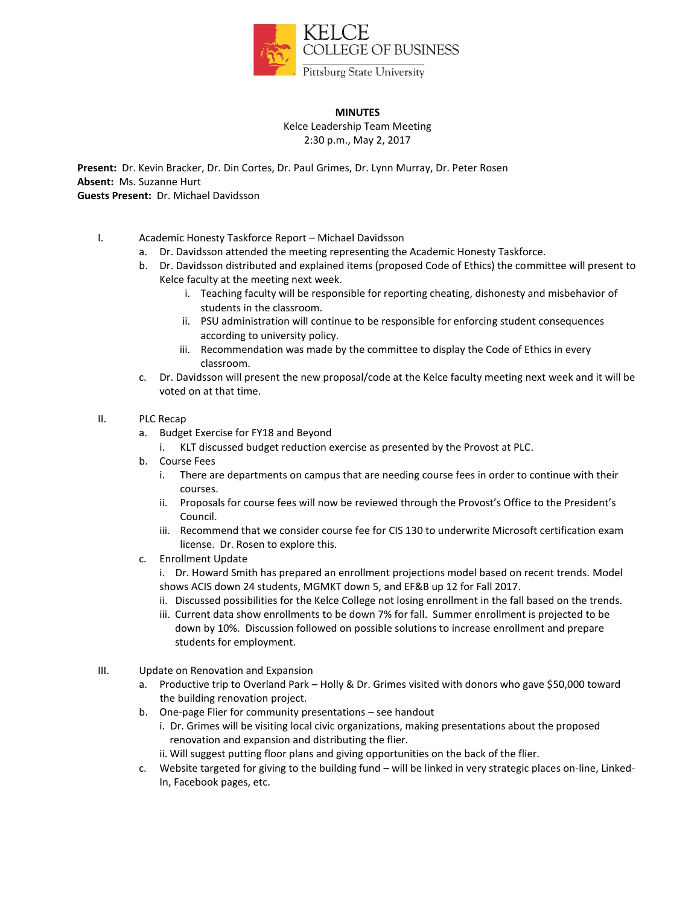

## **MINUTES**

Kelce Leadership Team Meeting 2:30 p.m., May 2, 2017

**Present:** Dr. Kevin Bracker, Dr. Din Cortes, Dr. Paul Grimes, Dr. Lynn Murray, Dr. Peter Rosen **Absent:** Ms. Suzanne Hurt **Guests Present:** Dr. Michael Davidsson

- I. Academic Honesty Taskforce Report Michael Davidsson
	- a. Dr. Davidsson attended the meeting representing the Academic Honesty Taskforce.
	- b. Dr. Davidsson distributed and explained items (proposed Code of Ethics) the committee will present to Kelce faculty at the meeting next week.
		- i. Teaching faculty will be responsible for reporting cheating, dishonesty and misbehavior of students in the classroom.
		- ii. PSU administration will continue to be responsible for enforcing student consequences according to university policy.
		- iii. Recommendation was made by the committee to display the Code of Ethics in every classroom.
	- c. Dr. Davidsson will present the new proposal/code at the Kelce faculty meeting next week and it will be voted on at that time.
- II. PLC Recap
	- a. Budget Exercise for FY18 and Beyond
		- i. KLT discussed budget reduction exercise as presented by the Provost at PLC.
	- b. Course Fees
		- i. There are departments on campus that are needing course fees in order to continue with their courses.
		- ii. Proposals for course fees will now be reviewed through the Provost's Office to the President's Council.
		- iii. Recommend that we consider course fee for CIS 130 to underwrite Microsoft certification exam license. Dr. Rosen to explore this.
	- c. Enrollment Update

i. Dr. Howard Smith has prepared an enrollment projections model based on recent trends. Model shows ACIS down 24 students, MGMKT down 5, and EF&B up 12 for Fall 2017.

- ii. Discussed possibilities for the Kelce College not losing enrollment in the fall based on the trends.
- iii. Current data show enrollments to be down 7% for fall. Summer enrollment is projected to be down by 10%. Discussion followed on possible solutions to increase enrollment and prepare students for employment.
- III. Update on Renovation and Expansion
	- a. Productive trip to Overland Park Holly & Dr. Grimes visited with donors who gave \$50,000 toward the building renovation project.
	- b. One-page Flier for community presentations see handout
		- i. Dr. Grimes will be visiting local civic organizations, making presentations about the proposed renovation and expansion and distributing the flier.
		- ii. Will suggest putting floor plans and giving opportunities on the back of the flier.
	- c. Website targeted for giving to the building fund will be linked in very strategic places on-line, Linked-In, Facebook pages, etc.